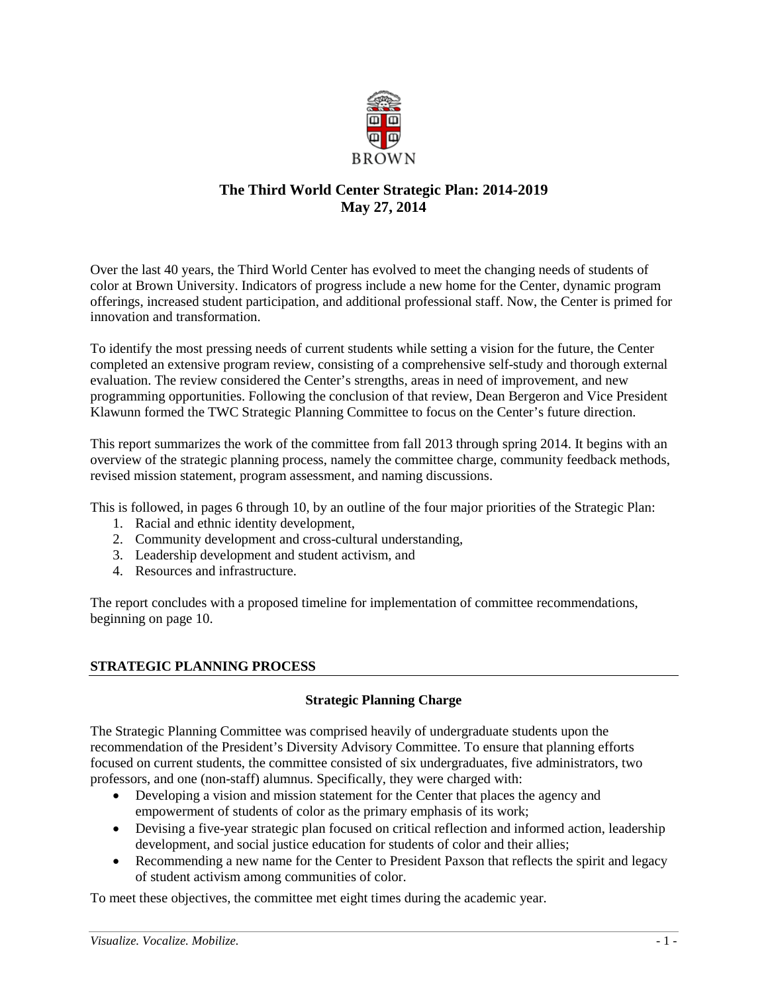

# **The Third World Center Strategic Plan: 2014-2019 May 27, 2014**

Over the last 40 years, the Third World Center has evolved to meet the changing needs of students of color at Brown University. Indicators of progress include a new home for the Center, dynamic program offerings, increased student participation, and additional professional staff. Now, the Center is primed for innovation and transformation.

To identify the most pressing needs of current students while setting a vision for the future, the Center completed an extensive program review, consisting of a comprehensive self-study and thorough external evaluation. The review considered the Center's strengths, areas in need of improvement, and new programming opportunities. Following the conclusion of that review, Dean Bergeron and Vice President Klawunn formed the TWC Strategic Planning Committee to focus on the Center's future direction.

This report summarizes the work of the committee from fall 2013 through spring 2014. It begins with an overview of the strategic planning process, namely the committee charge, community feedback methods, revised mission statement, program assessment, and naming discussions.

This is followed, in pages 6 through 10, by an outline of the four major priorities of the Strategic Plan:

- 1. Racial and ethnic identity development,
- 2. Community development and cross-cultural understanding,
- 3. Leadership development and student activism, and
- 4. Resources and infrastructure.

The report concludes with a proposed timeline for implementation of committee recommendations, beginning on page 10.

## **STRATEGIC PLANNING PROCESS**

## **Strategic Planning Charge**

The Strategic Planning Committee was comprised heavily of undergraduate students upon the recommendation of the President's Diversity Advisory Committee. To ensure that planning efforts focused on current students, the committee consisted of six undergraduates, five administrators, two professors, and one (non-staff) alumnus. Specifically, they were charged with:

- Developing a vision and mission statement for the Center that places the agency and empowerment of students of color as the primary emphasis of its work;
- Devising a five-year strategic plan focused on critical reflection and informed action, leadership development, and social justice education for students of color and their allies;
- Recommending a new name for the Center to President Paxson that reflects the spirit and legacy of student activism among communities of color.

To meet these objectives, the committee met eight times during the academic year.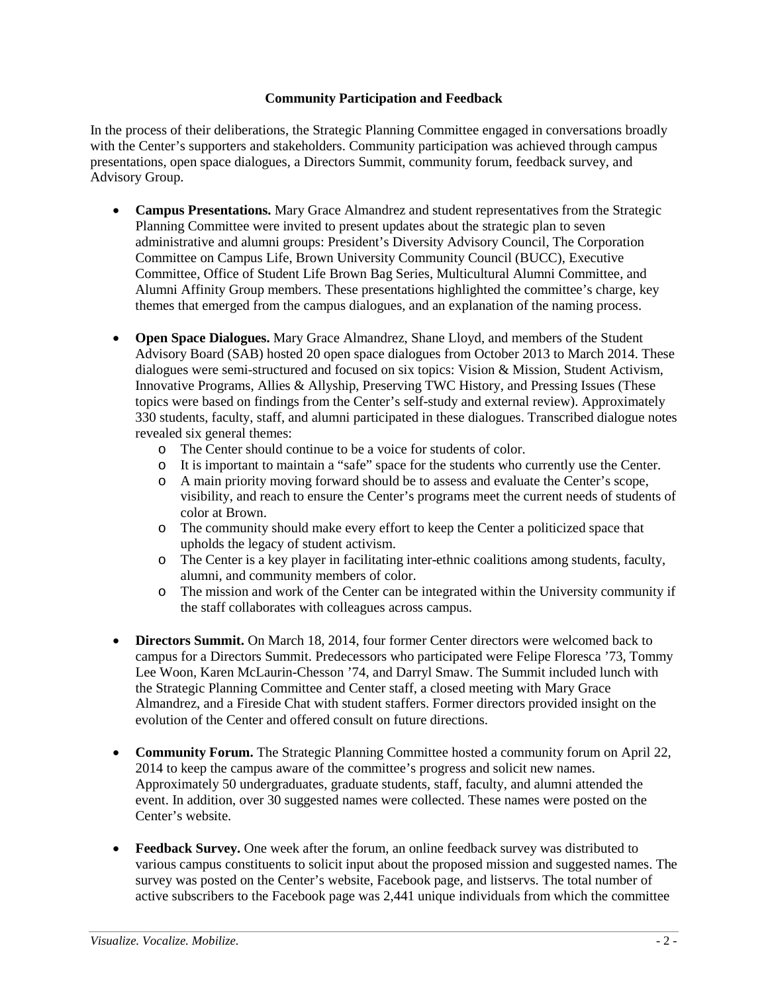## **Community Participation and Feedback**

In the process of their deliberations, the Strategic Planning Committee engaged in conversations broadly with the Center's supporters and stakeholders. Community participation was achieved through campus presentations, open space dialogues, a Directors Summit, community forum, feedback survey, and Advisory Group.

- **Campus Presentations.** Mary Grace Almandrez and student representatives from the Strategic Planning Committee were invited to present updates about the strategic plan to seven administrative and alumni groups: President's Diversity Advisory Council, The Corporation Committee on Campus Life, Brown University Community Council (BUCC), Executive Committee, Office of Student Life Brown Bag Series, Multicultural Alumni Committee, and Alumni Affinity Group members. These presentations highlighted the committee's charge, key themes that emerged from the campus dialogues, and an explanation of the naming process.
- **Open Space Dialogues.** Mary Grace Almandrez, Shane Lloyd, and members of the Student Advisory Board (SAB) hosted 20 open space dialogues from October 2013 to March 2014. These dialogues were semi-structured and focused on six topics: Vision & Mission, Student Activism, Innovative Programs, Allies & Allyship, Preserving TWC History, and Pressing Issues (These topics were based on findings from the Center's self-study and external review). Approximately 330 students, faculty, staff, and alumni participated in these dialogues. Transcribed dialogue notes revealed six general themes:
	- o The Center should continue to be a voice for students of color.
	- o It is important to maintain a "safe" space for the students who currently use the Center.
	- A main priority moving forward should be to assess and evaluate the Center's scope, visibility, and reach to ensure the Center's programs meet the current needs of students of color at Brown.
	- o The community should make every effort to keep the Center a politicized space that upholds the legacy of student activism.
	- o The Center is a key player in facilitating inter-ethnic coalitions among students, faculty, alumni, and community members of color.
	- o The mission and work of the Center can be integrated within the University community if the staff collaborates with colleagues across campus.
- **Directors Summit.** On March 18, 2014, four former Center directors were welcomed back to campus for a Directors Summit. Predecessors who participated were Felipe Floresca '73, Tommy Lee Woon, Karen McLaurin-Chesson '74, and Darryl Smaw. The Summit included lunch with the Strategic Planning Committee and Center staff, a closed meeting with Mary Grace Almandrez, and a Fireside Chat with student staffers. Former directors provided insight on the evolution of the Center and offered consult on future directions.
- **Community Forum.** The Strategic Planning Committee hosted a community forum on April 22, 2014 to keep the campus aware of the committee's progress and solicit new names. Approximately 50 undergraduates, graduate students, staff, faculty, and alumni attended the event. In addition, over 30 suggested names were collected. These names were posted on the Center's website.
- **Feedback Survey.** One week after the forum, an online feedback survey was distributed to various campus constituents to solicit input about the proposed mission and suggested names. The survey was posted on the Center's website, Facebook page, and listservs. The total number of active subscribers to the Facebook page was 2,441 unique individuals from which the committee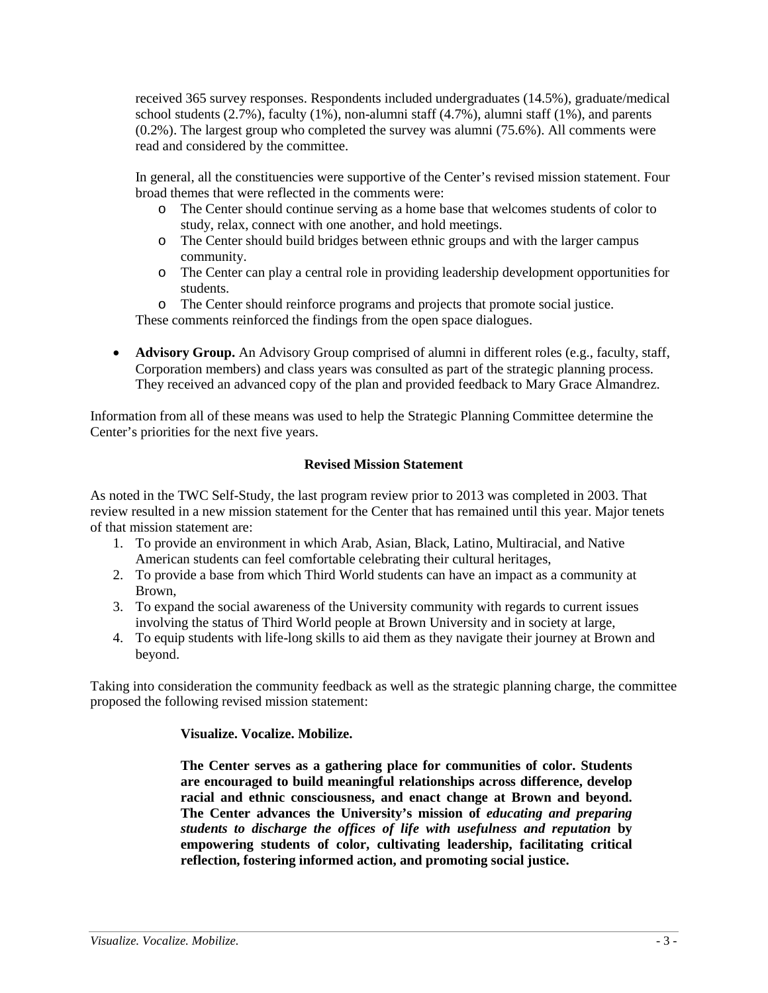received 365 survey responses. Respondents included undergraduates (14.5%), graduate/medical school students  $(2.7\%)$ , faculty  $(1\%)$ , non-alumni staff  $(4.7\%)$ , alumni staff  $(1\%)$ , and parents (0.2%). The largest group who completed the survey was alumni (75.6%). All comments were read and considered by the committee.

In general, all the constituencies were supportive of the Center's revised mission statement. Four broad themes that were reflected in the comments were:

- o The Center should continue serving as a home base that welcomes students of color to study, relax, connect with one another, and hold meetings.
- o The Center should build bridges between ethnic groups and with the larger campus community.
- o The Center can play a central role in providing leadership development opportunities for students.
- o The Center should reinforce programs and projects that promote social justice.

These comments reinforced the findings from the open space dialogues.

• **Advisory Group.** An Advisory Group comprised of alumni in different roles (e.g., faculty, staff, Corporation members) and class years was consulted as part of the strategic planning process. They received an advanced copy of the plan and provided feedback to Mary Grace Almandrez.

Information from all of these means was used to help the Strategic Planning Committee determine the Center's priorities for the next five years.

## **Revised Mission Statement**

As noted in the TWC Self-Study, the last program review prior to 2013 was completed in 2003. That review resulted in a new mission statement for the Center that has remained until this year. Major tenets of that mission statement are:

- 1. To provide an environment in which Arab, Asian, Black, Latino, Multiracial, and Native American students can feel comfortable celebrating their cultural heritages,
- 2. To provide a base from which Third World students can have an impact as a community at Brown,
- 3. To expand the social awareness of the University community with regards to current issues involving the status of Third World people at Brown University and in society at large,
- 4. To equip students with life-long skills to aid them as they navigate their journey at Brown and beyond.

Taking into consideration the community feedback as well as the strategic planning charge, the committee proposed the following revised mission statement:

### **Visualize. Vocalize. Mobilize.**

**The Center serves as a gathering place for communities of color. Students are encouraged to build meaningful relationships across difference, develop racial and ethnic consciousness, and enact change at Brown and beyond. The Center advances the University's mission of** *educating and preparing students to discharge the offices of life with usefulness and reputation* **by empowering students of color, cultivating leadership, facilitating critical reflection, fostering informed action, and promoting social justice.**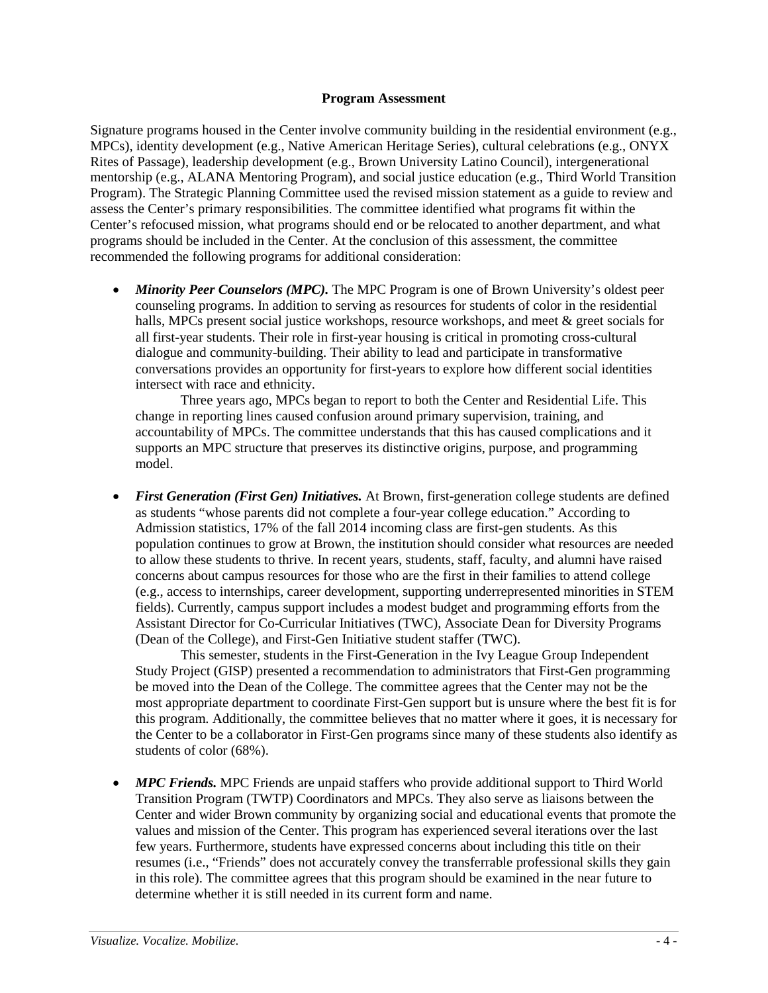#### **Program Assessment**

Signature programs housed in the Center involve community building in the residential environment (e.g., MPCs), identity development (e.g., Native American Heritage Series), cultural celebrations (e.g., ONYX Rites of Passage), leadership development (e.g., Brown University Latino Council), intergenerational mentorship (e.g., ALANA Mentoring Program), and social justice education (e.g., Third World Transition Program). The Strategic Planning Committee used the revised mission statement as a guide to review and assess the Center's primary responsibilities. The committee identified what programs fit within the Center's refocused mission, what programs should end or be relocated to another department, and what programs should be included in the Center. At the conclusion of this assessment, the committee recommended the following programs for additional consideration:

• *Minority Peer Counselors (MPC)*. The MPC Program is one of Brown University's oldest peer counseling programs. In addition to serving as resources for students of color in the residential halls, MPCs present social justice workshops, resource workshops, and meet & greet socials for all first-year students. Their role in first-year housing is critical in promoting cross-cultural dialogue and community-building. Their ability to lead and participate in transformative conversations provides an opportunity for first-years to explore how different social identities intersect with race and ethnicity.

Three years ago, MPCs began to report to both the Center and Residential Life. This change in reporting lines caused confusion around primary supervision, training, and accountability of MPCs. The committee understands that this has caused complications and it supports an MPC structure that preserves its distinctive origins, purpose, and programming model.

• *First Generation (First Gen) Initiatives.* At Brown, first-generation college students are defined as students "whose parents did not complete a four-year college education." According to Admission statistics, 17% of the fall 2014 incoming class are first-gen students. As this population continues to grow at Brown, the institution should consider what resources are needed to allow these students to thrive. In recent years, students, staff, faculty, and alumni have raised concerns about campus resources for those who are the first in their families to attend college (e.g., access to internships, career development, supporting underrepresented minorities in STEM fields). Currently, campus support includes a modest budget and programming efforts from the Assistant Director for Co-Curricular Initiatives (TWC), Associate Dean for Diversity Programs (Dean of the College), and First-Gen Initiative student staffer (TWC).

This semester, students in the First-Generation in the Ivy League Group Independent Study Project (GISP) presented a recommendation to administrators that First-Gen programming be moved into the Dean of the College. The committee agrees that the Center may not be the most appropriate department to coordinate First-Gen support but is unsure where the best fit is for this program. Additionally, the committee believes that no matter where it goes, it is necessary for the Center to be a collaborator in First-Gen programs since many of these students also identify as students of color (68%).

• *MPC Friends.* MPC Friends are unpaid staffers who provide additional support to Third World Transition Program (TWTP) Coordinators and MPCs. They also serve as liaisons between the Center and wider Brown community by organizing social and educational events that promote the values and mission of the Center. This program has experienced several iterations over the last few years. Furthermore, students have expressed concerns about including this title on their resumes (i.e., "Friends" does not accurately convey the transferrable professional skills they gain in this role). The committee agrees that this program should be examined in the near future to determine whether it is still needed in its current form and name.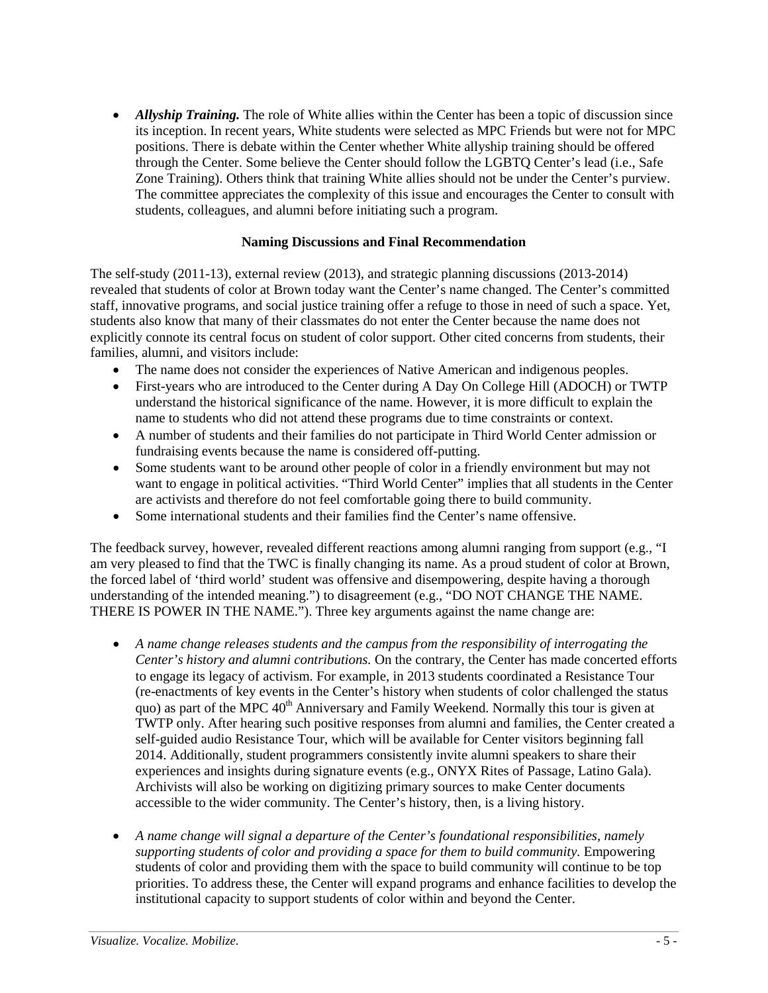• *Allyship Training*. The role of White allies within the Center has been a topic of discussion since its inception. In recent years, White students were selected as MPC Friends but were not for MPC positions. There is debate within the Center whether White allyship training should be offered through the Center. Some believe the Center should follow the LGBTQ Center's lead (i.e., Safe Zone Training). Others think that training White allies should not be under the Center's purview. The committee appreciates the complexity of this issue and encourages the Center to consult with students, colleagues, and alumni before initiating such a program.

## **Naming Discussions and Final Recommendation**

The self-study (2011-13), external review (2013), and strategic planning discussions (2013-2014) revealed that students of color at Brown today want the Center's name changed. The Center's committed staff, innovative programs, and social justice training offer a refuge to those in need of such a space. Yet, students also know that many of their classmates do not enter the Center because the name does not explicitly connote its central focus on student of color support. Other cited concerns from students, their families, alumni, and visitors include:

- The name does not consider the experiences of Native American and indigenous peoples.
- First-years who are introduced to the Center during A Day On College Hill (ADOCH) or TWTP understand the historical significance of the name. However, it is more difficult to explain the name to students who did not attend these programs due to time constraints or context.
- A number of students and their families do not participate in Third World Center admission or fundraising events because the name is considered off-putting.
- Some students want to be around other people of color in a friendly environment but may not want to engage in political activities. "Third World Center" implies that all students in the Center are activists and therefore do not feel comfortable going there to build community.
- Some international students and their families find the Center's name offensive.

The feedback survey, however, revealed different reactions among alumni ranging from support (e.g., "I am very pleased to find that the TWC is finally changing its name. As a proud student of color at Brown, the forced label of 'third world' student was offensive and disempowering, despite having a thorough understanding of the intended meaning.") to disagreement (e.g., "DO NOT CHANGE THE NAME. THERE IS POWER IN THE NAME."). Three key arguments against the name change are:

- *A name change releases students and the campus from the responsibility of interrogating the Center's history and alumni contributions.* On the contrary, the Center has made concerted efforts to engage its legacy of activism. For example, in 2013 students coordinated a Resistance Tour (re-enactments of key events in the Center's history when students of color challenged the status quo) as part of the MPC  $40<sup>th</sup>$  Anniversary and Family Weekend. Normally this tour is given at TWTP only. After hearing such positive responses from alumni and families, the Center created a self-guided audio Resistance Tour, which will be available for Center visitors beginning fall 2014. Additionally, student programmers consistently invite alumni speakers to share their experiences and insights during signature events (e.g., ONYX Rites of Passage, Latino Gala). Archivists will also be working on digitizing primary sources to make Center documents accessible to the wider community. The Center's history, then, is a living history.
- *A name change will signal a departure of the Center's foundational responsibilities, namely supporting students of color and providing a space for them to build community.* Empowering students of color and providing them with the space to build community will continue to be top priorities. To address these, the Center will expand programs and enhance facilities to develop the institutional capacity to support students of color within and beyond the Center.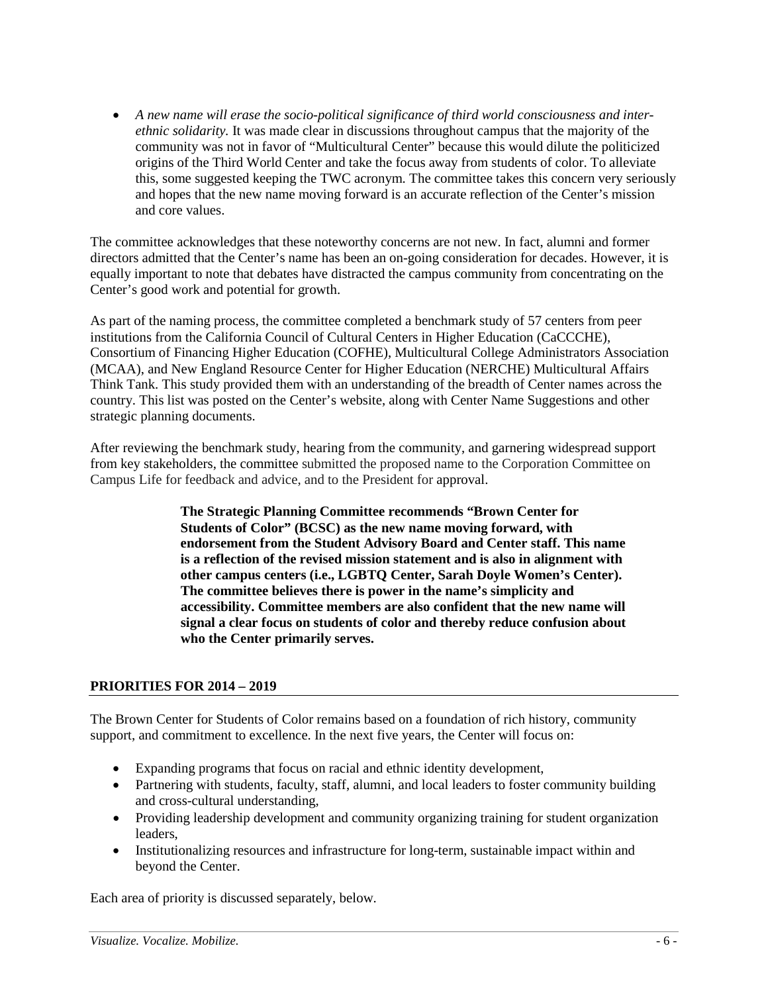• *A new name will erase the socio-political significance of third world consciousness and interethnic solidarity.* It was made clear in discussions throughout campus that the majority of the community was not in favor of "Multicultural Center" because this would dilute the politicized origins of the Third World Center and take the focus away from students of color. To alleviate this, some suggested keeping the TWC acronym. The committee takes this concern very seriously and hopes that the new name moving forward is an accurate reflection of the Center's mission and core values.

The committee acknowledges that these noteworthy concerns are not new. In fact, alumni and former directors admitted that the Center's name has been an on-going consideration for decades. However, it is equally important to note that debates have distracted the campus community from concentrating on the Center's good work and potential for growth.

As part of the naming process, the committee completed a benchmark study of 57 centers from peer institutions from the California Council of Cultural Centers in Higher Education (CaCCCHE), Consortium of Financing Higher Education (COFHE), Multicultural College Administrators Association (MCAA), and New England Resource Center for Higher Education (NERCHE) Multicultural Affairs Think Tank. This study provided them with an understanding of the breadth of Center names across the country. This list was posted on the Center's website, along with Center Name Suggestions and other strategic planning documents.

After reviewing the benchmark study, hearing from the community, and garnering widespread support from key stakeholders, the committee submitted the proposed name to the Corporation Committee on Campus Life for feedback and advice, and to the President for approval.

> **The Strategic Planning Committee recommends "Brown Center for Students of Color" (BCSC) as the new name moving forward, with endorsement from the Student Advisory Board and Center staff. This name is a reflection of the revised mission statement and is also in alignment with other campus centers (i.e., LGBTQ Center, Sarah Doyle Women's Center). The committee believes there is power in the name's simplicity and accessibility. Committee members are also confident that the new name will signal a clear focus on students of color and thereby reduce confusion about who the Center primarily serves.**

## **PRIORITIES FOR 2014 – 2019**

The Brown Center for Students of Color remains based on a foundation of rich history, community support, and commitment to excellence. In the next five years, the Center will focus on:

- Expanding programs that focus on racial and ethnic identity development,
- Partnering with students, faculty, staff, alumni, and local leaders to foster community building and cross-cultural understanding,
- Providing leadership development and community organizing training for student organization leaders,
- Institutionalizing resources and infrastructure for long-term, sustainable impact within and beyond the Center.

Each area of priority is discussed separately, below.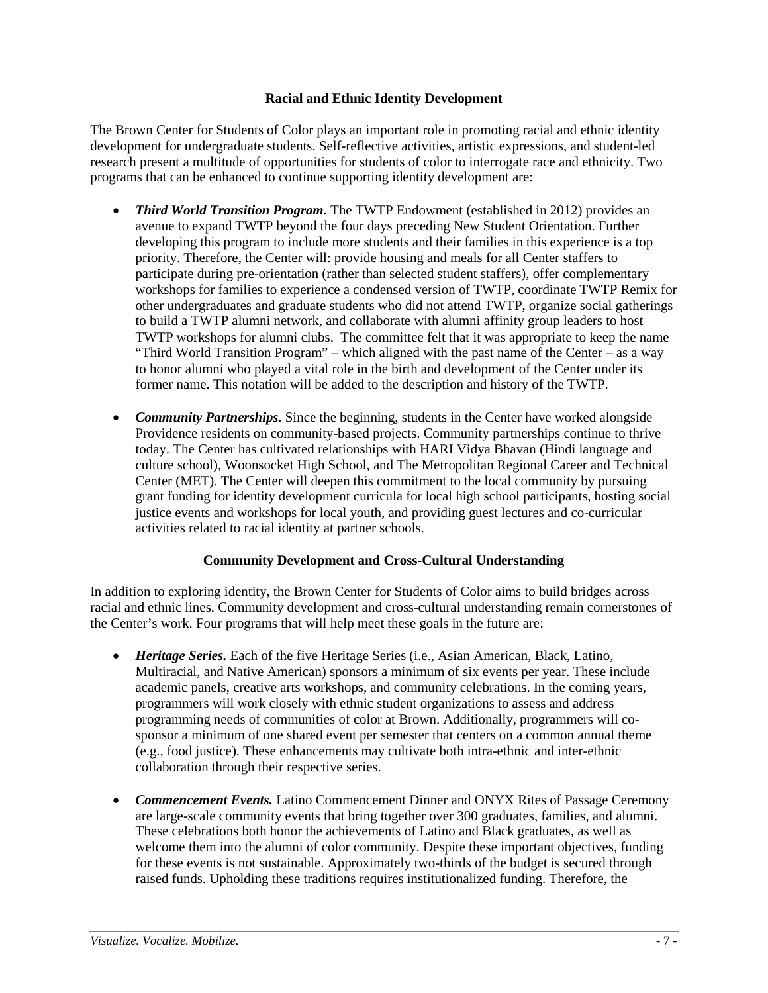### **Racial and Ethnic Identity Development**

The Brown Center for Students of Color plays an important role in promoting racial and ethnic identity development for undergraduate students. Self-reflective activities, artistic expressions, and student-led research present a multitude of opportunities for students of color to interrogate race and ethnicity. Two programs that can be enhanced to continue supporting identity development are:

- *Third World Transition Program.* The TWTP Endowment (established in 2012) provides an avenue to expand TWTP beyond the four days preceding New Student Orientation. Further developing this program to include more students and their families in this experience is a top priority. Therefore, the Center will: provide housing and meals for all Center staffers to participate during pre-orientation (rather than selected student staffers), offer complementary workshops for families to experience a condensed version of TWTP, coordinate TWTP Remix for other undergraduates and graduate students who did not attend TWTP, organize social gatherings to build a TWTP alumni network, and collaborate with alumni affinity group leaders to host TWTP workshops for alumni clubs. The committee felt that it was appropriate to keep the name "Third World Transition Program" – which aligned with the past name of the Center – as a way to honor alumni who played a vital role in the birth and development of the Center under its former name. This notation will be added to the description and history of the TWTP.
- *Community Partnerships*. Since the beginning, students in the Center have worked alongside Providence residents on community-based projects. Community partnerships continue to thrive today. The Center has cultivated relationships with HARI Vidya Bhavan (Hindi language and culture school), Woonsocket High School, and The Metropolitan Regional Career and Technical Center (MET). The Center will deepen this commitment to the local community by pursuing grant funding for identity development curricula for local high school participants, hosting social justice events and workshops for local youth, and providing guest lectures and co-curricular activities related to racial identity at partner schools.

## **Community Development and Cross-Cultural Understanding**

In addition to exploring identity, the Brown Center for Students of Color aims to build bridges across racial and ethnic lines. Community development and cross-cultural understanding remain cornerstones of the Center's work. Four programs that will help meet these goals in the future are:

- *Heritage Series.* Each of the five Heritage Series (i.e., Asian American, Black, Latino, Multiracial, and Native American) sponsors a minimum of six events per year. These include academic panels, creative arts workshops, and community celebrations. In the coming years, programmers will work closely with ethnic student organizations to assess and address programming needs of communities of color at Brown. Additionally, programmers will cosponsor a minimum of one shared event per semester that centers on a common annual theme (e.g., food justice). These enhancements may cultivate both intra-ethnic and inter-ethnic collaboration through their respective series.
- *Commencement Events.* Latino Commencement Dinner and ONYX Rites of Passage Ceremony are large-scale community events that bring together over 300 graduates, families, and alumni. These celebrations both honor the achievements of Latino and Black graduates, as well as welcome them into the alumni of color community. Despite these important objectives, funding for these events is not sustainable. Approximately two-thirds of the budget is secured through raised funds. Upholding these traditions requires institutionalized funding. Therefore, the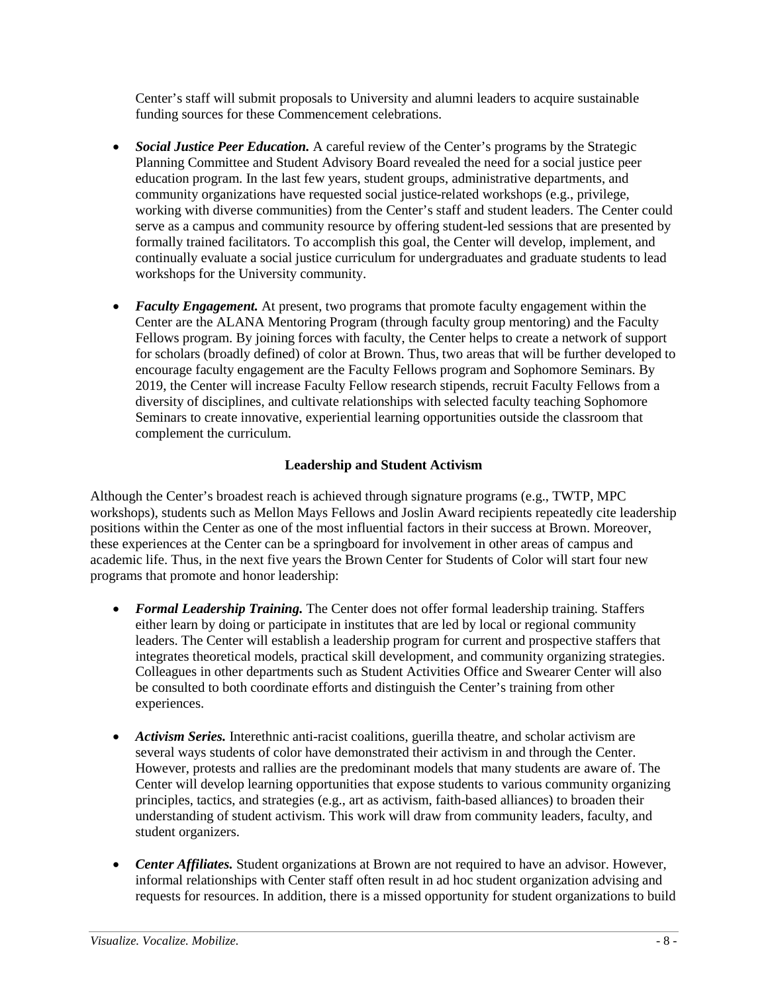Center's staff will submit proposals to University and alumni leaders to acquire sustainable funding sources for these Commencement celebrations.

- *Social Justice Peer Education.* A careful review of the Center's programs by the Strategic Planning Committee and Student Advisory Board revealed the need for a social justice peer education program. In the last few years, student groups, administrative departments, and community organizations have requested social justice-related workshops (e.g., privilege, working with diverse communities) from the Center's staff and student leaders. The Center could serve as a campus and community resource by offering student-led sessions that are presented by formally trained facilitators. To accomplish this goal, the Center will develop, implement, and continually evaluate a social justice curriculum for undergraduates and graduate students to lead workshops for the University community.
- *Faculty Engagement.* At present, two programs that promote faculty engagement within the Center are the ALANA Mentoring Program (through faculty group mentoring) and the Faculty Fellows program. By joining forces with faculty, the Center helps to create a network of support for scholars (broadly defined) of color at Brown. Thus, two areas that will be further developed to encourage faculty engagement are the Faculty Fellows program and Sophomore Seminars. By 2019, the Center will increase Faculty Fellow research stipends, recruit Faculty Fellows from a diversity of disciplines, and cultivate relationships with selected faculty teaching Sophomore Seminars to create innovative, experiential learning opportunities outside the classroom that complement the curriculum.

# **Leadership and Student Activism**

Although the Center's broadest reach is achieved through signature programs (e.g., TWTP, MPC workshops), students such as Mellon Mays Fellows and Joslin Award recipients repeatedly cite leadership positions within the Center as one of the most influential factors in their success at Brown. Moreover, these experiences at the Center can be a springboard for involvement in other areas of campus and academic life. Thus, in the next five years the Brown Center for Students of Color will start four new programs that promote and honor leadership:

- *Formal Leadership Training*. The Center does not offer formal leadership training. Staffers either learn by doing or participate in institutes that are led by local or regional community leaders. The Center will establish a leadership program for current and prospective staffers that integrates theoretical models, practical skill development, and community organizing strategies. Colleagues in other departments such as Student Activities Office and Swearer Center will also be consulted to both coordinate efforts and distinguish the Center's training from other experiences.
- *Activism Series.* Interethnic anti-racist coalitions, guerilla theatre, and scholar activism are several ways students of color have demonstrated their activism in and through the Center. However, protests and rallies are the predominant models that many students are aware of. The Center will develop learning opportunities that expose students to various community organizing principles, tactics, and strategies (e.g., art as activism, faith-based alliances) to broaden their understanding of student activism. This work will draw from community leaders, faculty, and student organizers.
- *Center Affiliates.* Student organizations at Brown are not required to have an advisor. However, informal relationships with Center staff often result in ad hoc student organization advising and requests for resources. In addition, there is a missed opportunity for student organizations to build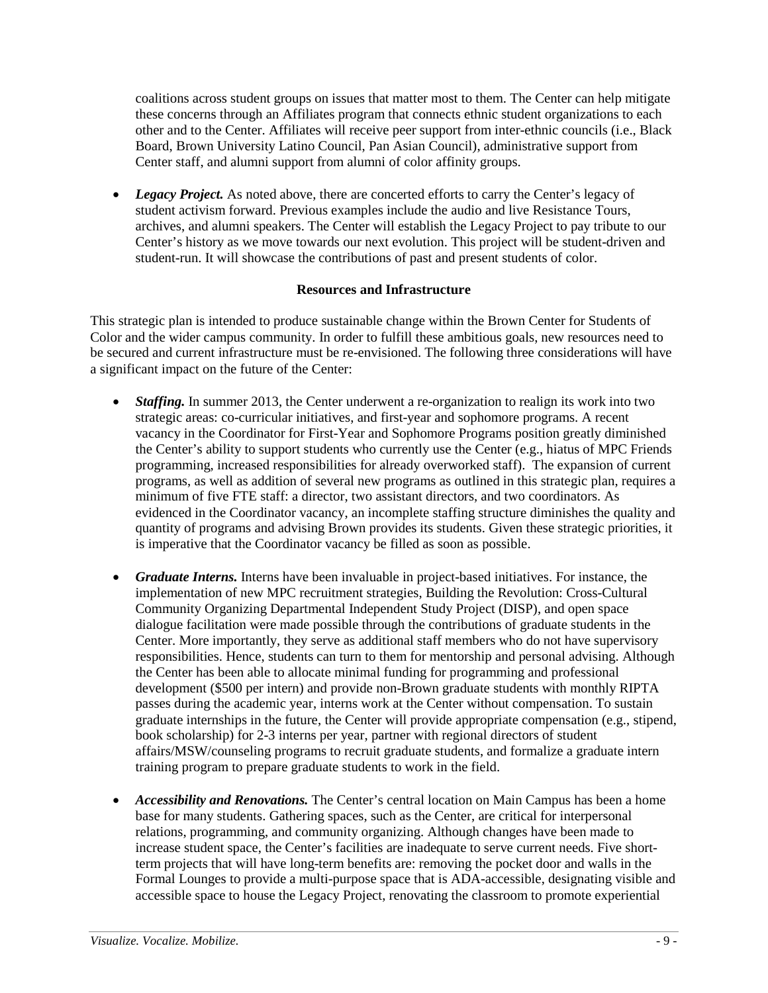coalitions across student groups on issues that matter most to them. The Center can help mitigate these concerns through an Affiliates program that connects ethnic student organizations to each other and to the Center. Affiliates will receive peer support from inter-ethnic councils (i.e., Black Board, Brown University Latino Council, Pan Asian Council), administrative support from Center staff, and alumni support from alumni of color affinity groups.

• Legacy Project. As noted above, there are concerted efforts to carry the Center's legacy of student activism forward. Previous examples include the audio and live Resistance Tours, archives, and alumni speakers. The Center will establish the Legacy Project to pay tribute to our Center's history as we move towards our next evolution. This project will be student-driven and student-run. It will showcase the contributions of past and present students of color.

## **Resources and Infrastructure**

This strategic plan is intended to produce sustainable change within the Brown Center for Students of Color and the wider campus community. In order to fulfill these ambitious goals, new resources need to be secured and current infrastructure must be re-envisioned. The following three considerations will have a significant impact on the future of the Center:

- *Staffing.* In summer 2013, the Center underwent a re-organization to realign its work into two strategic areas: co-curricular initiatives, and first-year and sophomore programs. A recent vacancy in the Coordinator for First-Year and Sophomore Programs position greatly diminished the Center's ability to support students who currently use the Center (e.g., hiatus of MPC Friends programming, increased responsibilities for already overworked staff). The expansion of current programs, as well as addition of several new programs as outlined in this strategic plan, requires a minimum of five FTE staff: a director, two assistant directors, and two coordinators. As evidenced in the Coordinator vacancy, an incomplete staffing structure diminishes the quality and quantity of programs and advising Brown provides its students. Given these strategic priorities, it is imperative that the Coordinator vacancy be filled as soon as possible.
- *Graduate Interns*. Interns have been invaluable in project-based initiatives. For instance, the implementation of new MPC recruitment strategies, Building the Revolution: Cross-Cultural Community Organizing Departmental Independent Study Project (DISP), and open space dialogue facilitation were made possible through the contributions of graduate students in the Center. More importantly, they serve as additional staff members who do not have supervisory responsibilities. Hence, students can turn to them for mentorship and personal advising. Although the Center has been able to allocate minimal funding for programming and professional development (\$500 per intern) and provide non-Brown graduate students with monthly RIPTA passes during the academic year, interns work at the Center without compensation. To sustain graduate internships in the future, the Center will provide appropriate compensation (e.g., stipend, book scholarship) for 2-3 interns per year, partner with regional directors of student affairs/MSW/counseling programs to recruit graduate students, and formalize a graduate intern training program to prepare graduate students to work in the field.
- *Accessibility and Renovations.* The Center's central location on Main Campus has been a home base for many students. Gathering spaces, such as the Center, are critical for interpersonal relations, programming, and community organizing. Although changes have been made to increase student space, the Center's facilities are inadequate to serve current needs. Five shortterm projects that will have long-term benefits are: removing the pocket door and walls in the Formal Lounges to provide a multi-purpose space that is ADA-accessible, designating visible and accessible space to house the Legacy Project, renovating the classroom to promote experiential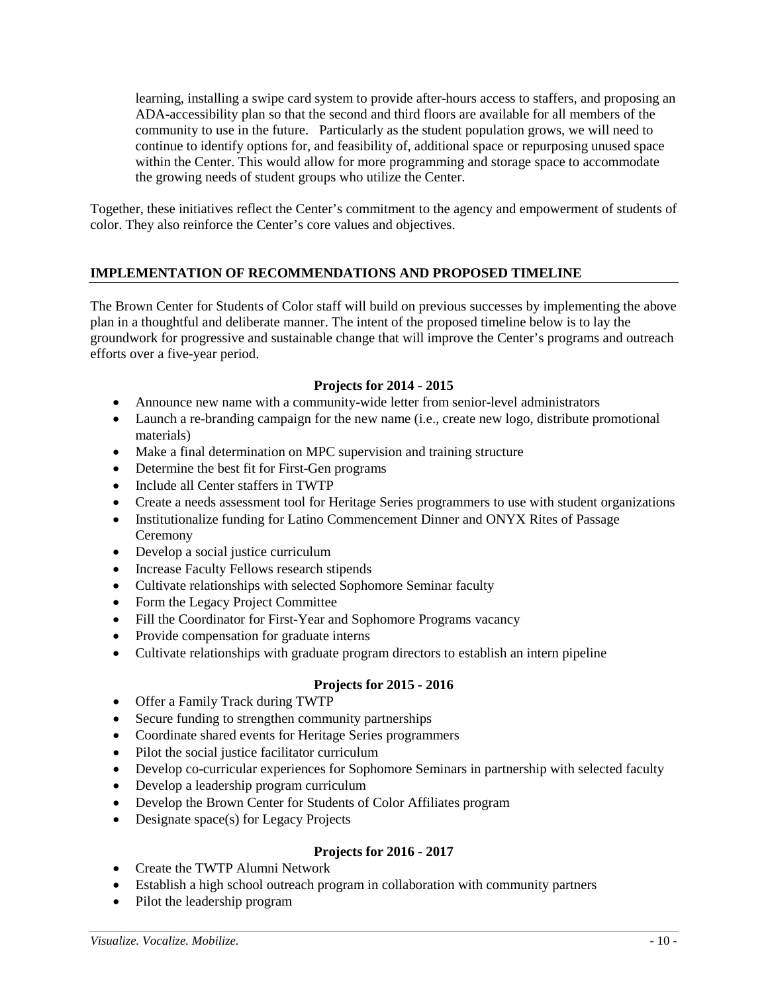learning, installing a swipe card system to provide after-hours access to staffers, and proposing an ADA-accessibility plan so that the second and third floors are available for all members of the community to use in the future. Particularly as the student population grows, we will need to continue to identify options for, and feasibility of, additional space or repurposing unused space within the Center. This would allow for more programming and storage space to accommodate the growing needs of student groups who utilize the Center.

Together, these initiatives reflect the Center's commitment to the agency and empowerment of students of color. They also reinforce the Center's core values and objectives.

## **IMPLEMENTATION OF RECOMMENDATIONS AND PROPOSED TIMELINE**

The Brown Center for Students of Color staff will build on previous successes by implementing the above plan in a thoughtful and deliberate manner. The intent of the proposed timeline below is to lay the groundwork for progressive and sustainable change that will improve the Center's programs and outreach efforts over a five-year period.

## **Projects for 2014 - 2015**

- Announce new name with a community-wide letter from senior-level administrators
- Launch a re-branding campaign for the new name (i.e., create new logo, distribute promotional materials)
- Make a final determination on MPC supervision and training structure
- Determine the best fit for First-Gen programs
- Include all Center staffers in TWTP
- Create a needs assessment tool for Heritage Series programmers to use with student organizations
- Institutionalize funding for Latino Commencement Dinner and ONYX Rites of Passage Ceremony
- Develop a social justice curriculum
- Increase Faculty Fellows research stipends
- Cultivate relationships with selected Sophomore Seminar faculty
- Form the Legacy Project Committee
- Fill the Coordinator for First-Year and Sophomore Programs vacancy
- Provide compensation for graduate interns
- Cultivate relationships with graduate program directors to establish an intern pipeline

### **Projects for 2015 - 2016**

- Offer a Family Track during TWTP
- Secure funding to strengthen community partnerships
- Coordinate shared events for Heritage Series programmers
- Pilot the social justice facilitator curriculum
- Develop co-curricular experiences for Sophomore Seminars in partnership with selected faculty
- Develop a leadership program curriculum
- Develop the Brown Center for Students of Color Affiliates program
- Designate space(s) for Legacy Projects

## **Projects for 2016 - 2017**

- Create the TWTP Alumni Network
- Establish a high school outreach program in collaboration with community partners
- Pilot the leadership program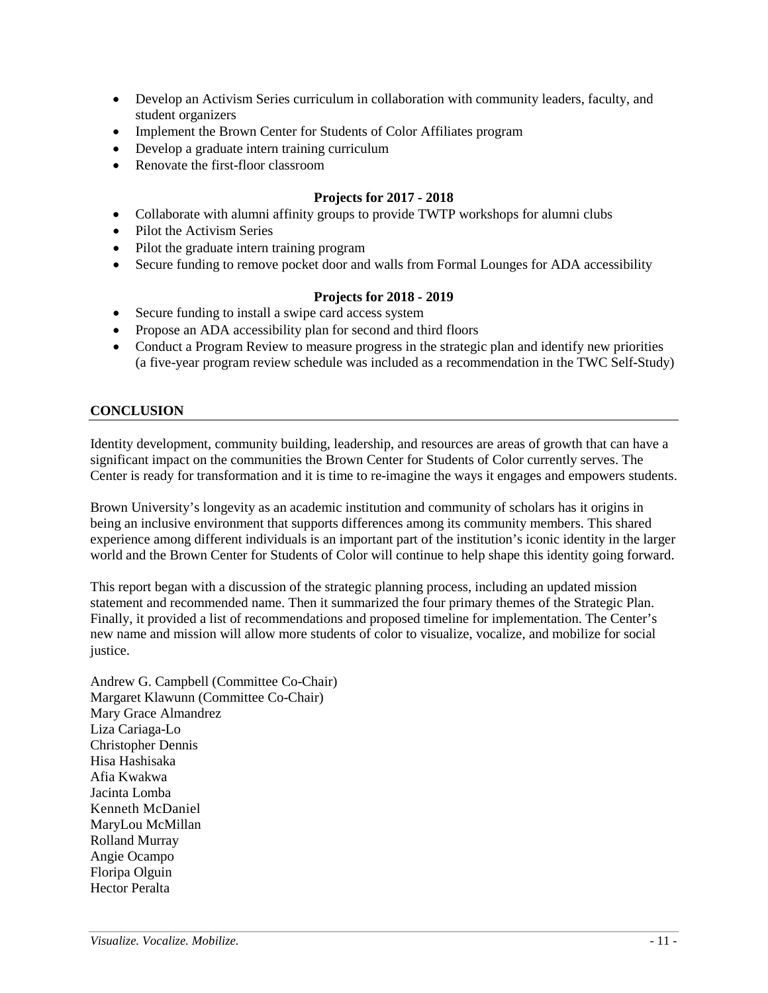- Develop an Activism Series curriculum in collaboration with community leaders, faculty, and student organizers
- Implement the Brown Center for Students of Color Affiliates program
- Develop a graduate intern training curriculum
- Renovate the first-floor classroom

### **Projects for 2017 - 2018**

- Collaborate with alumni affinity groups to provide TWTP workshops for alumni clubs
- Pilot the Activism Series
- Pilot the graduate intern training program
- Secure funding to remove pocket door and walls from Formal Lounges for ADA accessibility

### **Projects for 2018 - 2019**

- Secure funding to install a swipe card access system
- Propose an ADA accessibility plan for second and third floors
- Conduct a Program Review to measure progress in the strategic plan and identify new priorities (a five-year program review schedule was included as a recommendation in the TWC Self-Study)

### **CONCLUSION**

Identity development, community building, leadership, and resources are areas of growth that can have a significant impact on the communities the Brown Center for Students of Color currently serves. The Center is ready for transformation and it is time to re-imagine the ways it engages and empowers students.

Brown University's longevity as an academic institution and community of scholars has it origins in being an inclusive environment that supports differences among its community members. This shared experience among different individuals is an important part of the institution's iconic identity in the larger world and the Brown Center for Students of Color will continue to help shape this identity going forward.

This report began with a discussion of the strategic planning process, including an updated mission statement and recommended name. Then it summarized the four primary themes of the Strategic Plan. Finally, it provided a list of recommendations and proposed timeline for implementation. The Center's new name and mission will allow more students of color to visualize, vocalize, and mobilize for social justice.

Andrew G. Campbell (Committee Co-Chair) Margaret Klawunn (Committee Co-Chair) Mary Grace Almandrez Liza Cariaga-Lo Christopher Dennis Hisa Hashisaka Afia Kwakwa Jacinta Lomba Kenneth McDaniel MaryLou McMillan Rolland Murray Angie Ocampo Floripa Olguin Hector Peralta